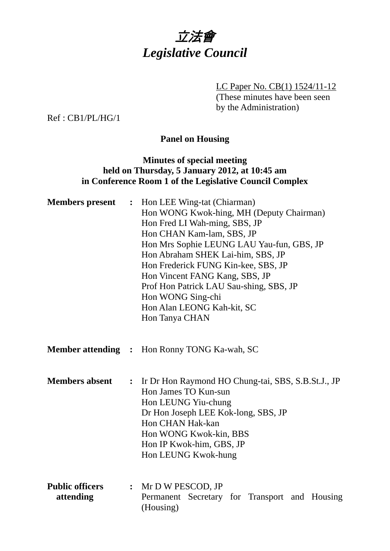

LC Paper No. CB(1) 1524/11-12 (These minutes have been seen by the Administration)

Ref : CB1/PL/HG/1

## **Panel on Housing**

### **Minutes of special meeting held on Thursday, 5 January 2012, at 10:45 am in Conference Room 1 of the Legislative Council Complex**

| <b>Members</b> present              | $\ddot{\bullet}$ | Hon LEE Wing-tat (Chiarman)<br>Hon WONG Kwok-hing, MH (Deputy Chairman)<br>Hon Fred LI Wah-ming, SBS, JP<br>Hon CHAN Kam-lam, SBS, JP<br>Hon Mrs Sophie LEUNG LAU Yau-fun, GBS, JP<br>Hon Abraham SHEK Lai-him, SBS, JP<br>Hon Frederick FUNG Kin-kee, SBS, JP<br>Hon Vincent FANG Kang, SBS, JP<br>Prof Hon Patrick LAU Sau-shing, SBS, JP<br>Hon WONG Sing-chi<br>Hon Alan LEONG Kah-kit, SC<br>Hon Tanya CHAN |  |
|-------------------------------------|------------------|------------------------------------------------------------------------------------------------------------------------------------------------------------------------------------------------------------------------------------------------------------------------------------------------------------------------------------------------------------------------------------------------------------------|--|
|                                     |                  | <b>Member attending : Hon Ronny TONG Ka-wah, SC</b>                                                                                                                                                                                                                                                                                                                                                              |  |
| <b>Members absent</b>               | $\ddot{\cdot}$   | Ir Dr Hon Raymond HO Chung-tai, SBS, S.B.St.J., JP<br>Hon James TO Kun-sun<br>Hon LEUNG Yiu-chung<br>Dr Hon Joseph LEE Kok-long, SBS, JP<br>Hon CHAN Hak-kan<br>Hon WONG Kwok-kin, BBS<br>Hon IP Kwok-him, GBS, JP<br>Hon LEUNG Kwok-hung                                                                                                                                                                        |  |
| <b>Public officers</b><br>attending |                  | $:$ Mr D W PESCOD, JP<br>Permanent Secretary for Transport and Housing<br>(Housing)                                                                                                                                                                                                                                                                                                                              |  |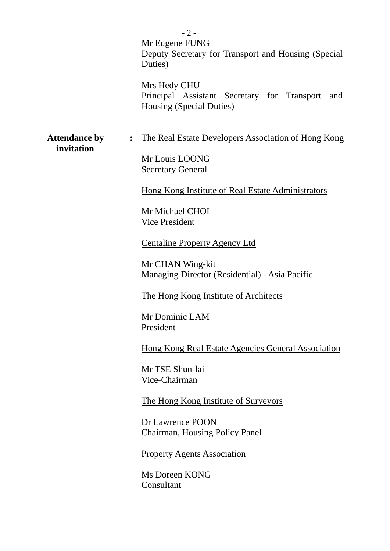$-2-$ Mr Eugene FUNG Deputy Secretary for Transport and Housing (Special Duties)

Mrs Hedy CHU Principal Assistant Secretary for Transport and Housing (Special Duties)

 **invitation** 

Attendance by : The Real Estate Developers Association of Hong Kong

Mr Louis LOONG Secretary General

Hong Kong Institute of Real Estate Administrators

Mr Michael CHOI Vice President

Centaline Property Agency Ltd

Mr CHAN Wing-kit Managing Director (Residential) - Asia Pacific

The Hong Kong Institute of Architects

Mr Dominic LAM President

Hong Kong Real Estate Agencies General Association

Mr TSE Shun-lai Vice-Chairman

The Hong Kong Institute of Surveyors

Dr Lawrence POON Chairman, Housing Policy Panel

Property Agents Association

Ms Doreen KONG Consultant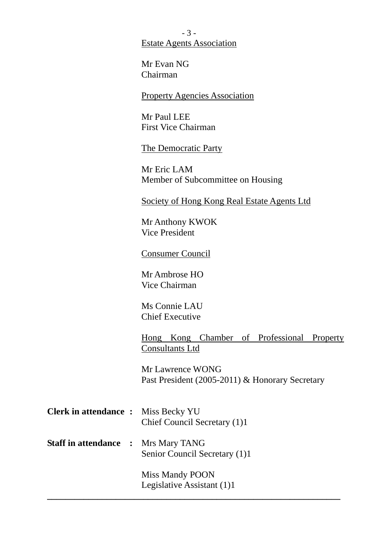- 3 - Estate Agents Association

Mr Evan NG Chairman

#### Property Agencies Association

Mr Paul LEE First Vice Chairman

The Democratic Party

Mr Eric LAM Member of Subcommittee on Housing

Society of Hong Kong Real Estate Agents Ltd

Mr Anthony KWOK Vice President

Consumer Council

Mr Ambrose HO Vice Chairman

Ms Connie LAU Chief Executive

Hong Kong Chamber of Professional Property Consultants Ltd

Mr Lawrence WONG Past President (2005-2011) & Honorary Secretary

| <b>Clerk in attendance :</b> Miss Becky YU | Chief Council Secretary (1)1 |
|--------------------------------------------|------------------------------|
| <b>Staff in attendance : Mrs Mary TANG</b> |                              |

Senior Council Secretary (1)1

Miss Mandy POON Legislative Assistant (1)1

**\_\_\_\_\_\_\_\_\_\_\_\_\_\_\_\_\_\_\_\_\_\_\_\_\_\_\_\_\_\_\_\_\_\_\_\_\_\_\_\_\_\_\_\_\_\_\_\_\_\_\_\_\_\_\_\_\_\_\_\_\_\_\_\_**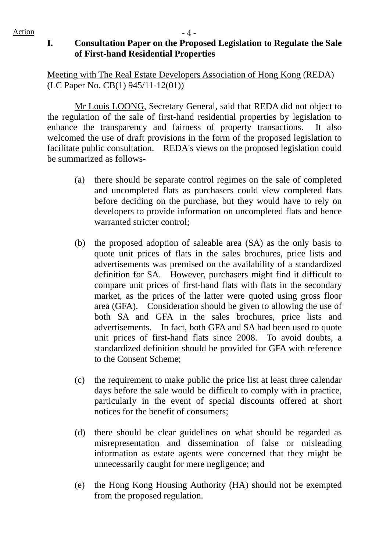## **I. Consultation Paper on the Proposed Legislation to Regulate the Sale of First-hand Residential Properties**

Meeting with The Real Estate Developers Association of Hong Kong (REDA) (LC Paper No. CB(1) 945/11-12(01))

 Mr Louis LOONG, Secretary General, said that REDA did not object to the regulation of the sale of first-hand residential properties by legislation to enhance the transparency and fairness of property transactions. It also welcomed the use of draft provisions in the form of the proposed legislation to facilitate public consultation. REDA's views on the proposed legislation could be summarized as follows-

- (a) there should be separate control regimes on the sale of completed and uncompleted flats as purchasers could view completed flats before deciding on the purchase, but they would have to rely on developers to provide information on uncompleted flats and hence warranted stricter control;
- (b) the proposed adoption of saleable area (SA) as the only basis to quote unit prices of flats in the sales brochures, price lists and advertisements was premised on the availability of a standardized definition for SA. However, purchasers might find it difficult to compare unit prices of first-hand flats with flats in the secondary market, as the prices of the latter were quoted using gross floor area (GFA). Consideration should be given to allowing the use of both SA and GFA in the sales brochures, price lists and advertisements. In fact, both GFA and SA had been used to quote unit prices of first-hand flats since 2008. To avoid doubts, a standardized definition should be provided for GFA with reference to the Consent Scheme;
- (c) the requirement to make public the price list at least three calendar days before the sale would be difficult to comply with in practice, particularly in the event of special discounts offered at short notices for the benefit of consumers;
- (d) there should be clear guidelines on what should be regarded as misrepresentation and dissemination of false or misleading information as estate agents were concerned that they might be unnecessarily caught for mere negligence; and
- (e) the Hong Kong Housing Authority (HA) should not be exempted from the proposed regulation.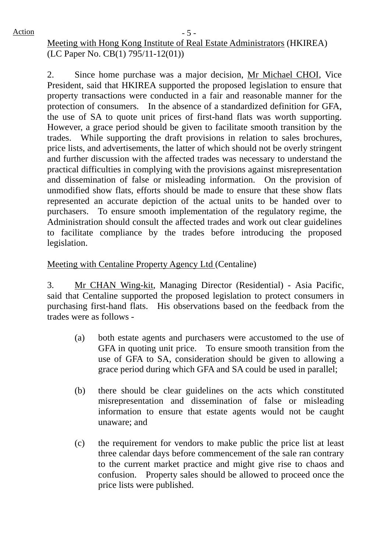# Meeting with Hong Kong Institute of Real Estate Administrators (HKIREA) (LC Paper No. CB(1) 795/11-12(01))

2. Since home purchase was a major decision, Mr Michael CHOI, Vice President, said that HKIREA supported the proposed legislation to ensure that property transactions were conducted in a fair and reasonable manner for the protection of consumers. In the absence of a standardized definition for GFA, the use of SA to quote unit prices of first-hand flats was worth supporting. However, a grace period should be given to facilitate smooth transition by the trades. While supporting the draft provisions in relation to sales brochures, price lists, and advertisements, the latter of which should not be overly stringent and further discussion with the affected trades was necessary to understand the practical difficulties in complying with the provisions against misrepresentation and dissemination of false or misleading information. On the provision of unmodified show flats, efforts should be made to ensure that these show flats represented an accurate depiction of the actual units to be handed over to purchasers. To ensure smooth implementation of the regulatory regime, the Administration should consult the affected trades and work out clear guidelines to facilitate compliance by the trades before introducing the proposed legislation.

# Meeting with Centaline Property Agency Ltd (Centaline)

3. Mr CHAN Wing-kit, Managing Director (Residential) - Asia Pacific, said that Centaline supported the proposed legislation to protect consumers in purchasing first-hand flats. His observations based on the feedback from the trades were as follows -

- (a) both estate agents and purchasers were accustomed to the use of GFA in quoting unit price. To ensure smooth transition from the use of GFA to SA, consideration should be given to allowing a grace period during which GFA and SA could be used in parallel;
- (b) there should be clear guidelines on the acts which constituted misrepresentation and dissemination of false or misleading information to ensure that estate agents would not be caught unaware; and
- (c) the requirement for vendors to make public the price list at least three calendar days before commencement of the sale ran contrary to the current market practice and might give rise to chaos and confusion. Property sales should be allowed to proceed once the price lists were published.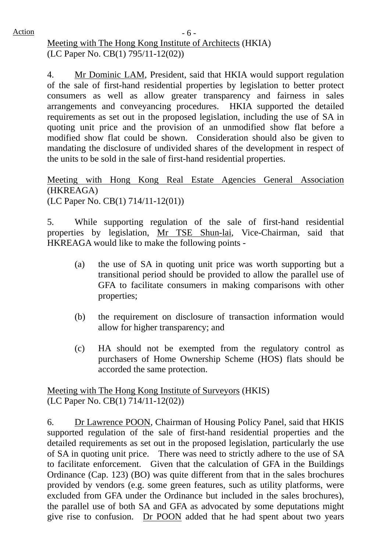$Action$   $-6$  -Meeting with The Hong Kong Institute of Architects (HKIA) (LC Paper No. CB(1) 795/11-12(02))

> 4. Mr Dominic LAM, President, said that HKIA would support regulation of the sale of first-hand residential properties by legislation to better protect consumers as well as allow greater transparency and fairness in sales arrangements and conveyancing procedures. HKIA supported the detailed requirements as set out in the proposed legislation, including the use of SA in quoting unit price and the provision of an unmodified show flat before a modified show flat could be shown. Consideration should also be given to mandating the disclosure of undivided shares of the development in respect of the units to be sold in the sale of first-hand residential properties.

> Meeting with Hong Kong Real Estate Agencies General Association (HKREAGA) (LC Paper No. CB(1) 714/11-12(01))

> 5. While supporting regulation of the sale of first-hand residential properties by legislation, Mr TSE Shun-lai, Vice-Chairman, said that HKREAGA would like to make the following points -

- (a) the use of SA in quoting unit price was worth supporting but a transitional period should be provided to allow the parallel use of GFA to facilitate consumers in making comparisons with other properties;
- (b) the requirement on disclosure of transaction information would allow for higher transparency; and
- (c) HA should not be exempted from the regulatory control as purchasers of Home Ownership Scheme (HOS) flats should be accorded the same protection.

Meeting with The Hong Kong Institute of Surveyors (HKIS) (LC Paper No. CB(1) 714/11-12(02))

6. Dr Lawrence POON, Chairman of Housing Policy Panel, said that HKIS supported regulation of the sale of first-hand residential properties and the detailed requirements as set out in the proposed legislation, particularly the use of SA in quoting unit price. There was need to strictly adhere to the use of SA to facilitate enforcement. Given that the calculation of GFA in the Buildings Ordinance (Cap. 123) (BO) was quite different from that in the sales brochures provided by vendors (e.g. some green features, such as utility platforms, were excluded from GFA under the Ordinance but included in the sales brochures), the parallel use of both SA and GFA as advocated by some deputations might give rise to confusion. Dr POON added that he had spent about two years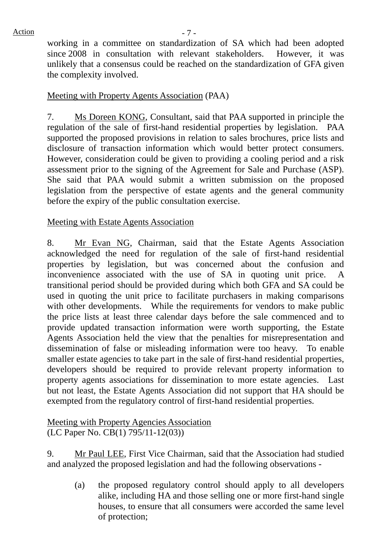working in a committee on standardization of SA which had been adopted since 2008 in consultation with relevant stakeholders. However, it was unlikely that a consensus could be reached on the standardization of GFA given the complexity involved.

### Meeting with Property Agents Association (PAA)

7. Ms Doreen KONG, Consultant, said that PAA supported in principle the regulation of the sale of first-hand residential properties by legislation. PAA supported the proposed provisions in relation to sales brochures, price lists and disclosure of transaction information which would better protect consumers. However, consideration could be given to providing a cooling period and a risk assessment prior to the signing of the Agreement for Sale and Purchase (ASP). She said that PAA would submit a written submission on the proposed legislation from the perspective of estate agents and the general community before the expiry of the public consultation exercise.

### Meeting with Estate Agents Association

8. Mr Evan NG, Chairman, said that the Estate Agents Association acknowledged the need for regulation of the sale of first-hand residential properties by legislation, but was concerned about the confusion and inconvenience associated with the use of SA in quoting unit price. A transitional period should be provided during which both GFA and SA could be used in quoting the unit price to facilitate purchasers in making comparisons with other developments. While the requirements for vendors to make public the price lists at least three calendar days before the sale commenced and to provide updated transaction information were worth supporting, the Estate Agents Association held the view that the penalties for misrepresentation and dissemination of false or misleading information were too heavy. To enable smaller estate agencies to take part in the sale of first-hand residential properties, developers should be required to provide relevant property information to property agents associations for dissemination to more estate agencies. Last but not least, the Estate Agents Association did not support that HA should be exempted from the regulatory control of first-hand residential properties.

## Meeting with Property Agencies Association (LC Paper No. CB(1) 795/11-12(03))

9. Mr Paul LEE, First Vice Chairman, said that the Association had studied and analyzed the proposed legislation and had the following observations -

(a) the proposed regulatory control should apply to all developers alike, including HA and those selling one or more first-hand single houses, to ensure that all consumers were accorded the same level of protection;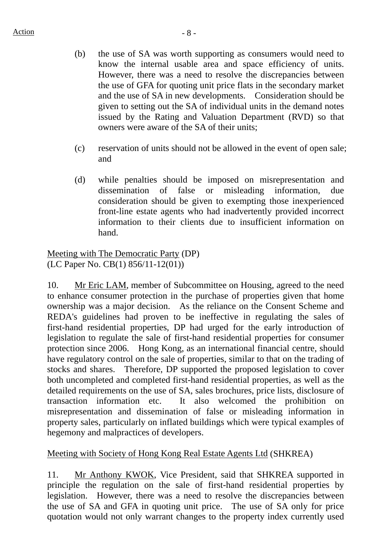- (b) the use of SA was worth supporting as consumers would need to know the internal usable area and space efficiency of units. However, there was a need to resolve the discrepancies between the use of GFA for quoting unit price flats in the secondary market and the use of SA in new developments. Consideration should be given to setting out the SA of individual units in the demand notes issued by the Rating and Valuation Department (RVD) so that owners were aware of the SA of their units;
- (c) reservation of units should not be allowed in the event of open sale; and
- (d) while penalties should be imposed on misrepresentation and dissemination of false or misleading information, due consideration should be given to exempting those inexperienced front-line estate agents who had inadvertently provided incorrect information to their clients due to insufficient information on hand.

Meeting with The Democratic Party (DP) (LC Paper No. CB(1) 856/11-12(01))

10. Mr Eric LAM, member of Subcommittee on Housing, agreed to the need to enhance consumer protection in the purchase of properties given that home ownership was a major decision. As the reliance on the Consent Scheme and REDA's guidelines had proven to be ineffective in regulating the sales of first-hand residential properties, DP had urged for the early introduction of legislation to regulate the sale of first-hand residential properties for consumer protection since 2006. Hong Kong, as an international financial centre, should have regulatory control on the sale of properties, similar to that on the trading of stocks and shares. Therefore, DP supported the proposed legislation to cover both uncompleted and completed first-hand residential properties, as well as the detailed requirements on the use of SA, sales brochures, price lists, disclosure of transaction information etc. It also welcomed the prohibition on misrepresentation and dissemination of false or misleading information in property sales, particularly on inflated buildings which were typical examples of hegemony and malpractices of developers.

## Meeting with Society of Hong Kong Real Estate Agents Ltd (SHKREA)

11. Mr Anthony KWOK, Vice President, said that SHKREA supported in principle the regulation on the sale of first-hand residential properties by legislation. However, there was a need to resolve the discrepancies between the use of SA and GFA in quoting unit price. The use of SA only for price quotation would not only warrant changes to the property index currently used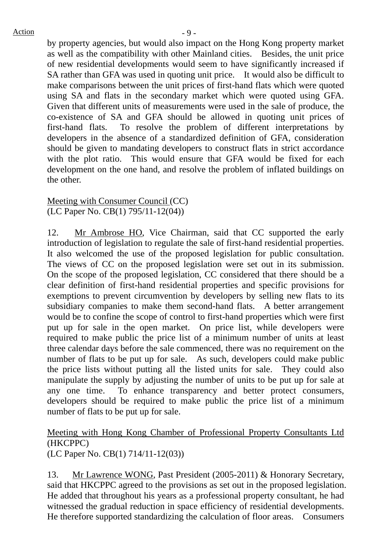by property agencies, but would also impact on the Hong Kong property market as well as the compatibility with other Mainland cities. Besides, the unit price of new residential developments would seem to have significantly increased if SA rather than GFA was used in quoting unit price. It would also be difficult to make comparisons between the unit prices of first-hand flats which were quoted using SA and flats in the secondary market which were quoted using GFA. Given that different units of measurements were used in the sale of produce, the co-existence of SA and GFA should be allowed in quoting unit prices of first-hand flats. To resolve the problem of different interpretations by developers in the absence of a standardized definition of GFA, consideration should be given to mandating developers to construct flats in strict accordance with the plot ratio. This would ensure that GFA would be fixed for each development on the one hand, and resolve the problem of inflated buildings on the other.

#### Meeting with Consumer Council (CC) (LC Paper No. CB(1) 795/11-12(04))

12. Mr Ambrose HO, Vice Chairman, said that CC supported the early introduction of legislation to regulate the sale of first-hand residential properties. It also welcomed the use of the proposed legislation for public consultation. The views of CC on the proposed legislation were set out in its submission. On the scope of the proposed legislation, CC considered that there should be a clear definition of first-hand residential properties and specific provisions for exemptions to prevent circumvention by developers by selling new flats to its subsidiary companies to make them second-hand flats. A better arrangement would be to confine the scope of control to first-hand properties which were first put up for sale in the open market. On price list, while developers were required to make public the price list of a minimum number of units at least three calendar days before the sale commenced, there was no requirement on the number of flats to be put up for sale. As such, developers could make public the price lists without putting all the listed units for sale. They could also manipulate the supply by adjusting the number of units to be put up for sale at any one time. To enhance transparency and better protect consumers, developers should be required to make public the price list of a minimum number of flats to be put up for sale.

#### Meeting with Hong Kong Chamber of Professional Property Consultants Ltd (HKCPPC) (LC Paper No. CB(1) 714/11-12(03))

13. Mr Lawrence WONG, Past President (2005-2011) & Honorary Secretary, said that HKCPPC agreed to the provisions as set out in the proposed legislation. He added that throughout his years as a professional property consultant, he had witnessed the gradual reduction in space efficiency of residential developments. He therefore supported standardizing the calculation of floor areas. Consumers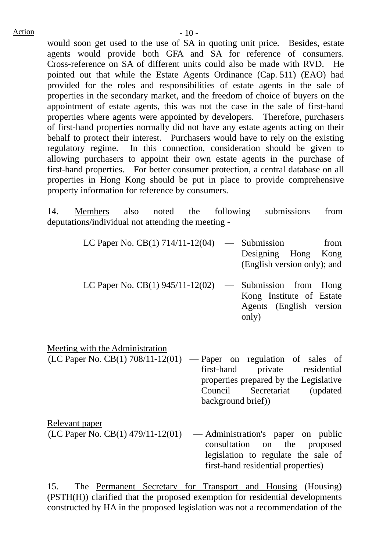would soon get used to the use of SA in quoting unit price. Besides, estate agents would provide both GFA and SA for reference of consumers. Cross-reference on SA of different units could also be made with RVD. He pointed out that while the Estate Agents Ordinance (Cap. 511) (EAO) had provided for the roles and responsibilities of estate agents in the sale of properties in the secondary market, and the freedom of choice of buyers on the appointment of estate agents, this was not the case in the sale of first-hand properties where agents were appointed by developers. Therefore, purchasers of first-hand properties normally did not have any estate agents acting on their behalf to protect their interest. Purchasers would have to rely on the existing regulatory regime. In this connection, consideration should be given to allowing purchasers to appoint their own estate agents in the purchase of first-hand properties. For better consumer protection, a central database on all properties in Hong Kong should be put in place to provide comprehensive property information for reference by consumers.

14. Members also noted the following submissions from deputations/individual not attending the meeting -

| LC Paper No. CB(1) $714/11-12(04)$ — Submission               | from<br>Designing Hong Kong<br>(English version only); and   |
|---------------------------------------------------------------|--------------------------------------------------------------|
| LC Paper No. CB $(1)$ 945/11-12 $(02)$ — Submission from Hong | Kong Institute of Estate<br>Agents (English version<br>only) |

Meeting with the Administration

- $(LC$  Paper No. CB(1) 708/11-12(01) Paper on regulation of sales of first-hand private residential properties prepared by the Legislative Council Secretariat (updated background brief))
- Relevant paper  $(LC$  Paper No.  $CB(1)$  479/11-12(01) — Administration's paper on public consultation on the proposed legislation to regulate the sale of first-hand residential properties)

15. The Permanent Secretary for Transport and Housing (Housing) (PSTH(H)) clarified that the proposed exemption for residential developments constructed by HA in the proposed legislation was not a recommendation of the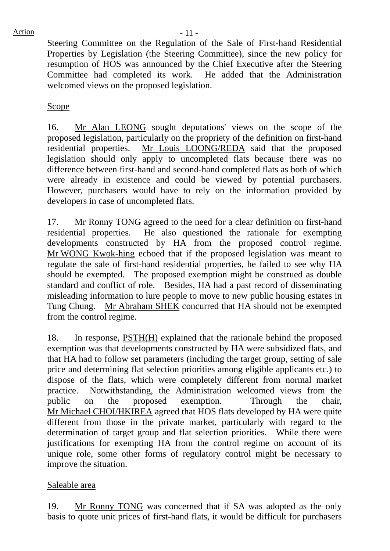Steering Committee on the Regulation of the Sale of First-hand Residential Properties by Legislation (the Steering Committee), since the new policy for resumption of HOS was announced by the Chief Executive after the Steering Committee had completed its work. He added that the Administration welcomed views on the proposed legislation.

### **Scope**

16. Mr Alan LEONG sought deputations' views on the scope of the proposed legislation, particularly on the propriety of the definition on first-hand residential properties. Mr Louis LOONG/REDA said that the proposed legislation should only apply to uncompleted flats because there was no difference between first-hand and second-hand completed flats as both of which were already in existence and could be viewed by potential purchasers. However, purchasers would have to rely on the information provided by developers in case of uncompleted flats.

17. Mr Ronny TONG agreed to the need for a clear definition on first-hand residential properties. He also questioned the rationale for exempting developments constructed by HA from the proposed control regime. Mr WONG Kwok-hing echoed that if the proposed legislation was meant to regulate the sale of first-hand residential properties, he failed to see why HA should be exempted. The proposed exemption might be construed as double standard and conflict of role. Besides, HA had a past record of disseminating misleading information to lure people to move to new public housing estates in Tung Chung. Mr Abraham SHEK concurred that HA should not be exempted from the control regime.

18. In response, PSTH(H) explained that the rationale behind the proposed exemption was that developments constructed by HA were subsidized flats, and that HA had to follow set parameters (including the target group, setting of sale price and determining flat selection priorities among eligible applicants etc.) to dispose of the flats, which were completely different from normal market practice. Notwithstanding, the Administration welcomed views from the public on the proposed exemption. Through the chair, Mr Michael CHOI/HKIREA agreed that HOS flats developed by HA were quite different from those in the private market, particularly with regard to the determination of target group and flat selection priorities. While there were justifications for exempting HA from the control regime on account of its unique role, some other forms of regulatory control might be necessary to improve the situation.

### Saleable area

19. Mr Ronny TONG was concerned that if SA was adopted as the only basis to quote unit prices of first-hand flats, it would be difficult for purchasers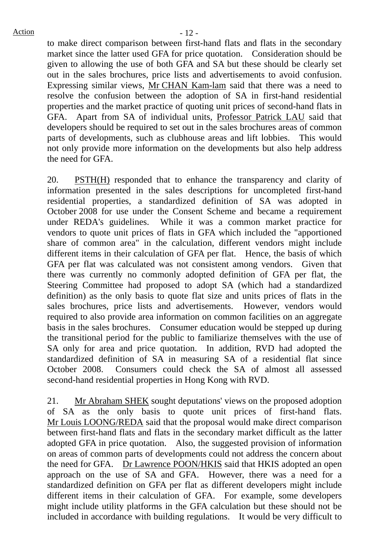to make direct comparison between first-hand flats and flats in the secondary market since the latter used GFA for price quotation. Consideration should be given to allowing the use of both GFA and SA but these should be clearly set out in the sales brochures, price lists and advertisements to avoid confusion. Expressing similar views, Mr CHAN Kam-lam said that there was a need to resolve the confusion between the adoption of SA in first-hand residential properties and the market practice of quoting unit prices of second-hand flats in GFA. Apart from SA of individual units, Professor Patrick LAU said that developers should be required to set out in the sales brochures areas of common parts of developments, such as clubhouse areas and lift lobbies. This would not only provide more information on the developments but also help address the need for GFA.

20. PSTH(H) responded that to enhance the transparency and clarity of information presented in the sales descriptions for uncompleted first-hand residential properties, a standardized definition of SA was adopted in October 2008 for use under the Consent Scheme and became a requirement under REDA's guidelines. While it was a common market practice for vendors to quote unit prices of flats in GFA which included the "apportioned share of common area" in the calculation, different vendors might include different items in their calculation of GFA per flat. Hence, the basis of which GFA per flat was calculated was not consistent among vendors. Given that there was currently no commonly adopted definition of GFA per flat, the Steering Committee had proposed to adopt SA (which had a standardized definition) as the only basis to quote flat size and units prices of flats in the sales brochures, price lists and advertisements. However, vendors would required to also provide area information on common facilities on an aggregate basis in the sales brochures. Consumer education would be stepped up during the transitional period for the public to familiarize themselves with the use of SA only for area and price quotation. In addition, RVD had adopted the standardized definition of SA in measuring SA of a residential flat since October 2008. Consumers could check the SA of almost all assessed second-hand residential properties in Hong Kong with RVD.

21. Mr Abraham SHEK sought deputations' views on the proposed adoption of SA as the only basis to quote unit prices of first-hand flats. Mr Louis LOONG/REDA said that the proposal would make direct comparison between first-hand flats and flats in the secondary market difficult as the latter adopted GFA in price quotation. Also, the suggested provision of information on areas of common parts of developments could not address the concern about the need for GFA. Dr Lawrence POON/HKIS said that HKIS adopted an open approach on the use of SA and GFA. However, there was a need for a standardized definition on GFA per flat as different developers might include different items in their calculation of GFA. For example, some developers might include utility platforms in the GFA calculation but these should not be included in accordance with building regulations. It would be very difficult to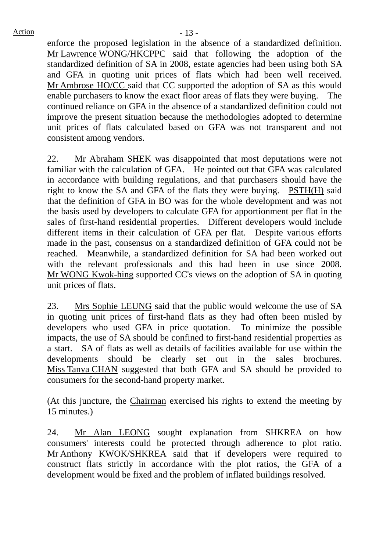enforce the proposed legislation in the absence of a standardized definition. Mr Lawrence WONG/HKCPPC said that following the adoption of the standardized definition of SA in 2008, estate agencies had been using both SA and GFA in quoting unit prices of flats which had been well received. Mr Ambrose HO/CC said that CC supported the adoption of SA as this would enable purchasers to know the exact floor areas of flats they were buying. The continued reliance on GFA in the absence of a standardized definition could not improve the present situation because the methodologies adopted to determine unit prices of flats calculated based on GFA was not transparent and not consistent among vendors.

22. Mr Abraham SHEK was disappointed that most deputations were not familiar with the calculation of GFA. He pointed out that GFA was calculated in accordance with building regulations, and that purchasers should have the right to know the SA and GFA of the flats they were buying. PSTH(H) said that the definition of GFA in BO was for the whole development and was not the basis used by developers to calculate GFA for apportionment per flat in the sales of first-hand residential properties. Different developers would include different items in their calculation of GFA per flat. Despite various efforts made in the past, consensus on a standardized definition of GFA could not be reached. Meanwhile, a standardized definition for SA had been worked out with the relevant professionals and this had been in use since 2008. Mr WONG Kwok-hing supported CC's views on the adoption of SA in quoting unit prices of flats.

23. Mrs Sophie LEUNG said that the public would welcome the use of SA in quoting unit prices of first-hand flats as they had often been misled by developers who used GFA in price quotation. To minimize the possible impacts, the use of SA should be confined to first-hand residential properties as a start. SA of flats as well as details of facilities available for use within the developments should be clearly set out in the sales brochures. Miss Tanya CHAN suggested that both GFA and SA should be provided to consumers for the second-hand property market.

(At this juncture, the Chairman exercised his rights to extend the meeting by 15 minutes.)

24. Mr Alan LEONG sought explanation from SHKREA on how consumers' interests could be protected through adherence to plot ratio. Mr Anthony KWOK/SHKREA said that if developers were required to construct flats strictly in accordance with the plot ratios, the GFA of a development would be fixed and the problem of inflated buildings resolved.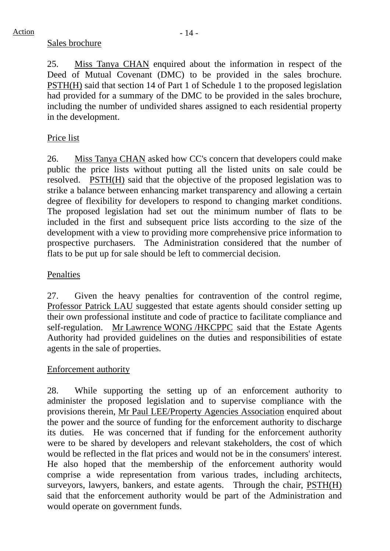### Sales brochure

25. Miss Tanya CHAN enquired about the information in respect of the Deed of Mutual Covenant (DMC) to be provided in the sales brochure. PSTH(H) said that section 14 of Part 1 of Schedule 1 to the proposed legislation had provided for a summary of the DMC to be provided in the sales brochure, including the number of undivided shares assigned to each residential property in the development.

## Price list

26. Miss Tanya CHAN asked how CC's concern that developers could make public the price lists without putting all the listed units on sale could be resolved. PSTH(H) said that the objective of the proposed legislation was to strike a balance between enhancing market transparency and allowing a certain degree of flexibility for developers to respond to changing market conditions. The proposed legislation had set out the minimum number of flats to be included in the first and subsequent price lists according to the size of the development with a view to providing more comprehensive price information to prospective purchasers. The Administration considered that the number of flats to be put up for sale should be left to commercial decision.

## Penalties

27. Given the heavy penalties for contravention of the control regime, Professor Patrick LAU suggested that estate agents should consider setting up their own professional institute and code of practice to facilitate compliance and self-regulation. Mr Lawrence WONG /HKCPPC said that the Estate Agents Authority had provided guidelines on the duties and responsibilities of estate agents in the sale of properties.

## Enforcement authority

28. While supporting the setting up of an enforcement authority to administer the proposed legislation and to supervise compliance with the provisions therein, Mr Paul LEE/Property Agencies Association enquired about the power and the source of funding for the enforcement authority to discharge its duties. He was concerned that if funding for the enforcement authority were to be shared by developers and relevant stakeholders, the cost of which would be reflected in the flat prices and would not be in the consumers' interest. He also hoped that the membership of the enforcement authority would comprise a wide representation from various trades, including architects, surveyors, lawyers, bankers, and estate agents. Through the chair, PSTH(H) said that the enforcement authority would be part of the Administration and would operate on government funds.